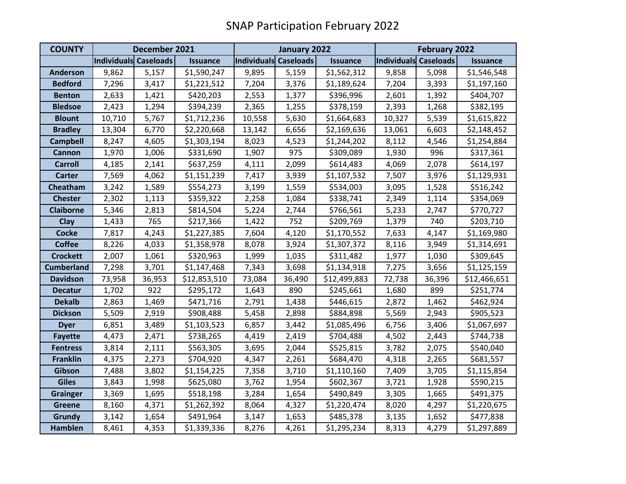| <b>COUNTY</b>     | December 2021                |        |                 | January 2022                 |        |                 | <b>February 2022</b>  |        |                 |
|-------------------|------------------------------|--------|-----------------|------------------------------|--------|-----------------|-----------------------|--------|-----------------|
|                   | <b>Individuals Caseloads</b> |        | <b>Issuance</b> | <b>Individuals Caseloads</b> |        | <b>Issuance</b> | Individuals Caseloads |        | <b>Issuance</b> |
| <b>Anderson</b>   | 9,862                        | 5,157  | \$1,590,247     | 9,895                        | 5,159  | \$1,562,312     | 9,858                 | 5,098  | \$1,546,548     |
| <b>Bedford</b>    | 7,296                        | 3,417  | \$1,221,512     | 7,204                        | 3,376  | \$1,189,624     | 7,204                 | 3,393  | \$1,197,160     |
| <b>Benton</b>     | 2,633                        | 1,421  | \$420,203       | 2,553                        | 1,377  | \$396,996       | 2,601                 | 1,392  | \$404,707       |
| <b>Bledsoe</b>    | 2,423                        | 1,294  | \$394,239       | 2,365                        | 1,255  | \$378,159       | 2,393                 | 1,268  | \$382,195       |
| <b>Blount</b>     | 10,710                       | 5,767  | \$1,712,236     | 10,558                       | 5,630  | \$1,664,683     | 10,327                | 5,539  | \$1,615,822     |
| <b>Bradley</b>    | 13,304                       | 6,770  | \$2,220,668     | 13,142                       | 6,656  | \$2,169,636     | 13,061                | 6,603  | \$2,148,452     |
| <b>Campbell</b>   | 8,247                        | 4,605  | \$1,303,194     | 8,023                        | 4,523  | \$1,244,202     | 8,112                 | 4,546  | \$1,254,884     |
| <b>Cannon</b>     | 1,970                        | 1,006  | \$331,690       | 1,907                        | 975    | \$309,089       | 1,930                 | 996    | \$317,361       |
| <b>Carroll</b>    | 4,185                        | 2,141  | \$637,259       | 4,111                        | 2,099  | \$614,483       | 4,069                 | 2,078  | \$614,197       |
| <b>Carter</b>     | 7,569                        | 4,062  | \$1,151,239     | 7,417                        | 3,939  | \$1,107,532     | 7,507                 | 3,976  | \$1,129,931     |
| Cheatham          | 3,242                        | 1,589  | \$554,273       | 3,199                        | 1,559  | \$534,003       | 3,095                 | 1,528  | \$516,242       |
| <b>Chester</b>    | 2,302                        | 1,113  | \$359,322       | 2,258                        | 1,084  | \$338,741       | 2,349                 | 1,114  | \$354,069       |
| <b>Claiborne</b>  | 5,346                        | 2,813  | \$814,504       | 5,224                        | 2,744  | \$766,561       | 5,233                 | 2,747  | \$770,727       |
| <b>Clay</b>       | 1,433                        | 765    | \$217,366       | 1,422                        | 752    | \$209,769       | 1,379                 | 740    | \$203,710       |
| <b>Cocke</b>      | 7,817                        | 4,243  | \$1,227,385     | 7,604                        | 4,120  | \$1,170,552     | 7,633                 | 4,147  | \$1,169,980     |
| <b>Coffee</b>     | 8,226                        | 4,033  | \$1,358,978     | 8,078                        | 3,924  | \$1,307,372     | 8,116                 | 3,949  | \$1,314,691     |
| <b>Crockett</b>   | 2,007                        | 1,061  | \$320,963       | 1,999                        | 1,035  | \$311,482       | 1,977                 | 1,030  | \$309,645       |
| <b>Cumberland</b> | 7,298                        | 3,701  | \$1,147,468     | 7,343                        | 3,698  | \$1,134,918     | 7,275                 | 3,656  | \$1,125,159     |
| <b>Davidson</b>   | 73,958                       | 36,953 | \$12,853,510    | 73,084                       | 36,490 | \$12,499,883    | 72,738                | 36,396 | \$12,466,651    |
| <b>Decatur</b>    | 1,702                        | 922    | \$295,172       | 1,643                        | 890    | \$245,661       | 1,680                 | 899    | \$251,774       |
| <b>Dekalb</b>     | 2,863                        | 1,469  | \$471,716       | 2,791                        | 1,438  | \$446,615       | 2,872                 | 1,462  | \$462,924       |
| <b>Dickson</b>    | 5,509                        | 2,919  | \$908,488       | 5,458                        | 2,898  | \$884,898       | 5,569                 | 2,943  | \$905,523       |
| <b>Dyer</b>       | 6,851                        | 3,489  | \$1,103,523     | 6,857                        | 3,442  | \$1,085,496     | 6,756                 | 3,406  | \$1,067,697     |
| <b>Fayette</b>    | 4,473                        | 2,471  | \$738,265       | 4,419                        | 2,419  | \$704,488       | 4,502                 | 2,443  | \$744,738       |
| <b>Fentress</b>   | 3,814                        | 2,111  | \$563,305       | 3,695                        | 2,044  | \$525,815       | 3,782                 | 2,075  | \$540,040       |
| <b>Franklin</b>   | 4,375                        | 2,273  | \$704,920       | 4,347                        | 2,261  | \$684,470       | 4,318                 | 2,265  | \$681,557       |
| Gibson            | 7,488                        | 3,802  | \$1,154,225     | 7,358                        | 3,710  | \$1,110,160     | 7,409                 | 3,705  | \$1,115,854     |
| <b>Giles</b>      | 3,843                        | 1,998  | \$625,080       | 3,762                        | 1,954  | \$602,367       | 3,721                 | 1,928  | \$590,215       |
| <b>Grainger</b>   | 3,369                        | 1,695  | \$518,198       | 3,284                        | 1,654  | \$490,849       | 3,305                 | 1,665  | \$491,375       |
| <b>Greene</b>     | 8,160                        | 4,371  | \$1,262,392     | 8,064                        | 4,327  | \$1,220,474     | 8,020                 | 4,297  | \$1,220,675     |
| <b>Grundy</b>     | 3,142                        | 1,654  | \$491,964       | 3,147                        | 1,653  | \$485,378       | 3,135                 | 1,652  | \$477,838       |
| <b>Hamblen</b>    | 8,461                        | 4,353  | \$1,339,336     | 8,276                        | 4,261  | \$1,295,234     | 8,313                 | 4,279  | \$1,297,889     |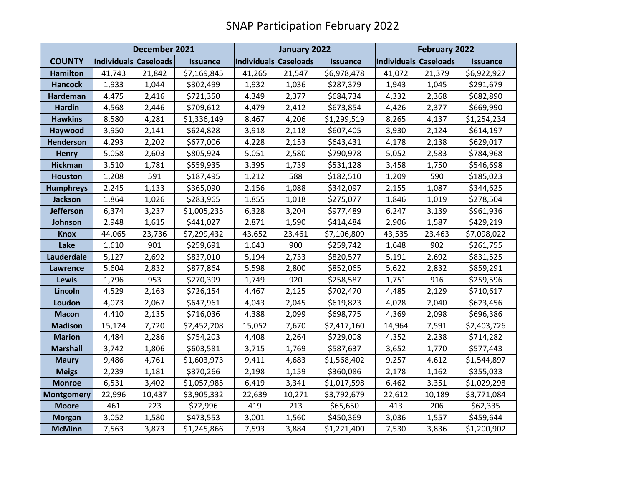|                   | December 2021                |        |                 | January 2022          |        |                 | <b>February 2022</b>  |        |                 |
|-------------------|------------------------------|--------|-----------------|-----------------------|--------|-----------------|-----------------------|--------|-----------------|
| <b>COUNTY</b>     | <b>Individuals Caseloads</b> |        | <b>Issuance</b> | Individuals Caseloads |        | <b>Issuance</b> | Individuals Caseloads |        | <b>Issuance</b> |
| <b>Hamilton</b>   | 41,743                       | 21,842 | \$7,169,845     | 41,265                | 21,547 | \$6,978,478     | 41,072                | 21,379 | \$6,922,927     |
| <b>Hancock</b>    | 1,933                        | 1,044  | \$302,499       | 1,932                 | 1,036  | \$287,379       | 1,943                 | 1,045  | \$291,679       |
| <b>Hardeman</b>   | 4,475                        | 2,416  | \$721,350       | 4,349                 | 2,377  | \$684,734       | 4,332                 | 2,368  | \$682,890       |
| <b>Hardin</b>     | 4,568                        | 2,446  | \$709,612       | 4,479                 | 2,412  | \$673,854       | 4,426                 | 2,377  | \$669,990       |
| <b>Hawkins</b>    | 8,580                        | 4,281  | \$1,336,149     | 8,467                 | 4,206  | \$1,299,519     | 8,265                 | 4,137  | \$1,254,234     |
| Haywood           | 3,950                        | 2,141  | \$624,828       | 3,918                 | 2,118  | \$607,405       | 3,930                 | 2,124  | \$614,197       |
| <b>Henderson</b>  | 4,293                        | 2,202  | \$677,006       | 4,228                 | 2,153  | \$643,431       | 4,178                 | 2,138  | \$629,017       |
| <b>Henry</b>      | 5,058                        | 2,603  | \$805,924       | 5,051                 | 2,580  | \$790,978       | 5,052                 | 2,583  | \$784,968       |
| <b>Hickman</b>    | 3,510                        | 1,781  | \$559,935       | 3,395                 | 1,739  | \$531,128       | 3,458                 | 1,750  | \$546,698       |
| <b>Houston</b>    | 1,208                        | 591    | \$187,495       | 1,212                 | 588    | \$182,510       | 1,209                 | 590    | \$185,023       |
| <b>Humphreys</b>  | 2,245                        | 1,133  | \$365,090       | 2,156                 | 1,088  | \$342,097       | 2,155                 | 1,087  | \$344,625       |
| <b>Jackson</b>    | 1,864                        | 1,026  | \$283,965       | 1,855                 | 1,018  | \$275,077       | 1,846                 | 1,019  | \$278,504       |
| <b>Jefferson</b>  | 6,374                        | 3,237  | \$1,005,235     | 6,328                 | 3,204  | \$977,489       | 6,247                 | 3,139  | \$961,936       |
| Johnson           | 2,948                        | 1,615  | \$441,027       | 2,871                 | 1,590  | \$414,484       | 2,906                 | 1,587  | \$429,219       |
| <b>Knox</b>       | 44,065                       | 23,736 | \$7,299,432     | 43,652                | 23,461 | \$7,106,809     | 43,535                | 23,463 | \$7,098,022     |
| Lake              | 1,610                        | 901    | \$259,691       | 1,643                 | 900    | \$259,742       | 1,648                 | 902    | \$261,755       |
| Lauderdale        | 5,127                        | 2,692  | \$837,010       | 5,194                 | 2,733  | \$820,577       | 5,191                 | 2,692  | \$831,525       |
| Lawrence          | 5,604                        | 2,832  | \$877,864       | 5,598                 | 2,800  | \$852,065       | 5,622                 | 2,832  | \$859,291       |
| <b>Lewis</b>      | 1,796                        | 953    | \$270,399       | 1,749                 | 920    | \$258,587       | 1,751                 | 916    | \$259,596       |
| Lincoln           | 4,529                        | 2,163  | \$726,154       | 4,467                 | 2,125  | \$702,470       | 4,485                 | 2,129  | \$710,617       |
| Loudon            | 4,073                        | 2,067  | \$647,961       | 4,043                 | 2,045  | \$619,823       | 4,028                 | 2,040  | \$623,456       |
| <b>Macon</b>      | 4,410                        | 2,135  | \$716,036       | 4,388                 | 2,099  | \$698,775       | 4,369                 | 2,098  | \$696,386       |
| <b>Madison</b>    | 15,124                       | 7,720  | \$2,452,208     | 15,052                | 7,670  | \$2,417,160     | 14,964                | 7,591  | \$2,403,726     |
| <b>Marion</b>     | 4,484                        | 2,286  | \$754,203       | 4,408                 | 2,264  | \$729,008       | 4,352                 | 2,238  | \$714,282       |
| <b>Marshall</b>   | 3,742                        | 1,806  | \$603,581       | 3,715                 | 1,769  | \$587,637       | 3,652                 | 1,770  | \$577,443       |
| <b>Maury</b>      | 9,486                        | 4,761  | \$1,603,973     | 9,411                 | 4,683  | \$1,568,402     | 9,257                 | 4,612  | \$1,544,897     |
| <b>Meigs</b>      | 2,239                        | 1,181  | \$370,266       | 2,198                 | 1,159  | \$360,086       | 2,178                 | 1,162  | \$355,033       |
| <b>Monroe</b>     | 6,531                        | 3,402  | \$1,057,985     | 6,419                 | 3,341  | \$1,017,598     | 6,462                 | 3,351  | \$1,029,298     |
| <b>Montgomery</b> | 22,996                       | 10,437 | \$3,905,332     | 22,639                | 10,271 | \$3,792,679     | 22,612                | 10,189 | \$3,771,084     |
| <b>Moore</b>      | 461                          | 223    | \$72,996        | 419                   | 213    | \$65,650        | 413                   | 206    | \$62,335        |
| <b>Morgan</b>     | 3,052                        | 1,580  | \$473,553       | 3,001                 | 1,560  | \$450,369       | 3,036                 | 1,557  | \$459,644       |
| <b>McMinn</b>     | 7,563                        | 3,873  | \$1,245,866     | 7,593                 | 3,884  | \$1,221,400     | 7,530                 | 3,836  | \$1,200,902     |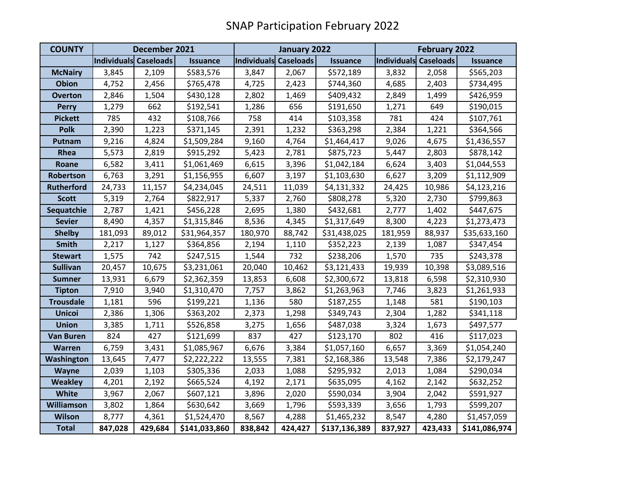| <b>COUNTY</b>     | December 2021         |         |                 | January 2022          |         |                 | February 2022         |         |                 |
|-------------------|-----------------------|---------|-----------------|-----------------------|---------|-----------------|-----------------------|---------|-----------------|
|                   | Individuals Caseloads |         | <b>Issuance</b> | Individuals Caseloads |         | <b>Issuance</b> | Individuals Caseloads |         | <b>Issuance</b> |
| <b>McNairy</b>    | 3,845                 | 2,109   | \$583,576       | 3,847                 | 2,067   | \$572,189       | 3,832                 | 2,058   | \$565,203       |
| <b>Obion</b>      | 4,752                 | 2,456   | \$765,478       | 4,725                 | 2,423   | \$744,360       | 4,685                 | 2,403   | \$734,495       |
| <b>Overton</b>    | 2,846                 | 1,504   | \$430,128       | 2,802                 | 1,469   | \$409,432       | 2,849                 | 1,499   | \$426,959       |
| <b>Perry</b>      | 1,279                 | 662     | \$192,541       | 1,286                 | 656     | \$191,650       | 1,271                 | 649     | \$190,015       |
| <b>Pickett</b>    | 785                   | 432     | \$108,766       | 758                   | 414     | \$103,358       | 781                   | 424     | \$107,761       |
| <b>Polk</b>       | 2,390                 | 1,223   | \$371,145       | 2,391                 | 1,232   | \$363,298       | 2,384                 | 1,221   | \$364,566       |
| Putnam            | 9,216                 | 4,824   | \$1,509,284     | 9,160                 | 4,764   | \$1,464,417     | 9,026                 | 4,675   | \$1,436,557     |
| Rhea              | 5,573                 | 2,819   | \$915,292       | 5,423                 | 2,781   | \$875,723       | 5,447                 | 2,803   | \$878,142       |
| Roane             | 6,582                 | 3,411   | \$1,061,469     | 6,615                 | 3,396   | \$1,042,184     | 6,624                 | 3,403   | \$1,044,553     |
| Robertson         | 6,763                 | 3,291   | \$1,156,955     | 6,607                 | 3,197   | \$1,103,630     | 6,627                 | 3,209   | \$1,112,909     |
| <b>Rutherford</b> | 24,733                | 11,157  | \$4,234,045     | 24,511                | 11,039  | \$4,131,332     | 24,425                | 10,986  | \$4,123,216     |
| <b>Scott</b>      | 5,319                 | 2,764   | \$822,917       | 5,337                 | 2,760   | \$808,278       | 5,320                 | 2,730   | \$799,863       |
| Sequatchie        | 2,787                 | 1,421   | \$456,228       | 2,695                 | 1,380   | \$432,681       | 2,777                 | 1,402   | \$447,675       |
| <b>Sevier</b>     | 8,490                 | 4,357   | \$1,315,846     | 8,536                 | 4,345   | \$1,317,649     | 8,300                 | 4,223   | \$1,273,473     |
| <b>Shelby</b>     | 181,093               | 89,012  | \$31,964,357    | 180,970               | 88,742  | \$31,438,025    | 181,959               | 88,937  | \$35,633,160    |
| <b>Smith</b>      | 2,217                 | 1,127   | \$364,856       | 2,194                 | 1,110   | \$352,223       | 2,139                 | 1,087   | \$347,454       |
| <b>Stewart</b>    | 1,575                 | 742     | \$247,515       | 1,544                 | 732     | \$238,206       | 1,570                 | 735     | \$243,378       |
| <b>Sullivan</b>   | 20,457                | 10,675  | \$3,231,061     | 20,040                | 10,462  | \$3,121,433     | 19,939                | 10,398  | \$3,089,516     |
| <b>Sumner</b>     | 13,931                | 6,679   | \$2,362,359     | 13,853                | 6,608   | \$2,300,672     | 13,818                | 6,598   | \$2,310,930     |
| <b>Tipton</b>     | 7,910                 | 3,940   | \$1,310,470     | 7,757                 | 3,862   | \$1,263,963     | 7,746                 | 3,823   | \$1,261,933     |
| <b>Trousdale</b>  | 1,181                 | 596     | \$199,221       | 1,136                 | 580     | \$187,255       | 1,148                 | 581     | \$190,103       |
| <b>Unicoi</b>     | 2,386                 | 1,306   | \$363,202       | 2,373                 | 1,298   | \$349,743       | 2,304                 | 1,282   | \$341,118       |
| <b>Union</b>      | 3,385                 | 1,711   | \$526,858       | 3,275                 | 1,656   | \$487,038       | 3,324                 | 1,673   | \$497,577       |
| <b>Van Buren</b>  | 824                   | 427     | \$121,699       | 837                   | 427     | \$123,170       | 802                   | 416     | \$117,023       |
| <b>Warren</b>     | 6,759                 | 3,431   | \$1,085,967     | 6,676                 | 3,384   | \$1,057,160     | 6,657                 | 3,369   | \$1,054,240     |
| Washington        | 13,645                | 7,477   | \$2,222,222     | 13,555                | 7,381   | \$2,168,386     | 13,548                | 7,386   | \$2,179,247     |
| Wayne             | 2,039                 | 1,103   | \$305,336       | 2,033                 | 1,088   | \$295,932       | 2,013                 | 1,084   | \$290,034       |
| <b>Weakley</b>    | 4,201                 | 2,192   | \$665,524       | 4,192                 | 2,171   | \$635,095       | 4,162                 | 2,142   | \$632,252       |
| <b>White</b>      | 3,967                 | 2,067   | \$607,121       | 3,896                 | 2,020   | \$590,034       | 3,904                 | 2,042   | \$591,927       |
| <b>Williamson</b> | 3,802                 | 1,864   | \$630,642       | 3,669                 | 1,796   | \$593,339       | 3,656                 | 1,793   | \$599,207       |
| <b>Wilson</b>     | 8,777                 | 4,361   | \$1,524,470     | 8,567                 | 4,288   | \$1,465,232     | 8,547                 | 4,280   | \$1,457,059     |
| <b>Total</b>      | 847,028               | 429,684 | \$141,033,860   | 838,842               | 424,427 | \$137,136,389   | 837,927               | 423,433 | \$141,086,974   |